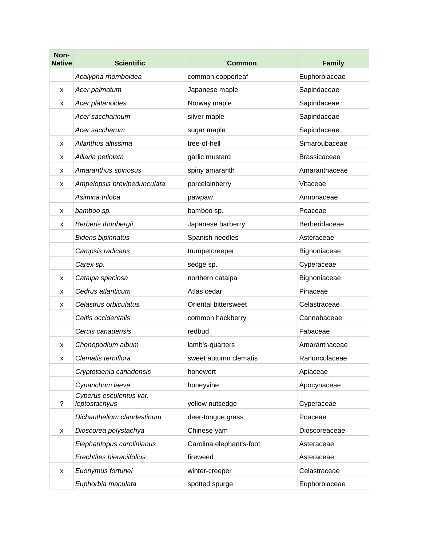| Non-<br><b>Native</b> | <b>Scientific</b>                        | <b>Common</b>            | <b>Family</b>       |
|-----------------------|------------------------------------------|--------------------------|---------------------|
|                       | Acalypha rhomboidea                      | common copperleaf        | Euphorbiaceae       |
| X                     | Acer palmatum                            | Japanese maple           | Sapindaceae         |
| x                     | Acer platanoides                         | Norway maple             | Sapindaceae         |
|                       | Acer saccharinum                         | silver maple             | Sapindaceae         |
|                       | Acer saccharum                           | sugar maple              | Sapindaceae         |
| X                     | Ailanthus altissima                      | tree-of-hell             | Simaroubaceae       |
| X                     | Alliaria petiolata                       | garlic mustard           | <b>Brassicaceae</b> |
| x                     | Amaranthus spinosus                      | spiny amaranth           | Amaranthaceae       |
| x                     | Ampelopsis brevipedunculata              | porcelainberry           | Vitaceae            |
|                       | Asimina triloba                          | pawpaw                   | Annonaceae          |
| X                     | bamboo sp.                               | bamboo sp.               | Poaceae             |
| x                     | Berberis thunbergii                      | Japanese barberry        | Berberidaceae       |
|                       | <b>Bidens bipinnatus</b>                 | Spanish needles          | Asteraceae          |
|                       | Campsis radicans                         | trumpetcreeper           | Bignoniaceae        |
|                       | Carex sp.                                | sedge sp.                | Cyperaceae          |
| x                     | Catalpa speciosa                         | northern catalpa         | Bignoniaceae        |
| X                     | Cedrus atlanticum                        | Atlas cedar              | Pinaceae            |
| X                     | Celastrus orbiculatus                    | Oriental bittersweet     | Celastraceae        |
|                       | Celtis occidentalis                      | common hackberry         | Cannabaceae         |
|                       | Cercis canadensis                        | redbud                   | Fabaceae            |
| x                     | Chenopodium album                        | lamb's-quarters          | Amaranthaceae       |
| X                     | Clematis terniflora                      | sweet autumn clematis    | Ranunculaceae       |
|                       | Cryptotaenia canadensis                  | honewort                 | Apiaceae            |
|                       | Cynanchum laeve                          | honeyvine                | Apocynaceae         |
| ?                     | Cyperus esculentus var.<br>leptostachyus | yellow nutsedge          | Cyperaceae          |
|                       | Dichanthelium clandestinum               | deer-tongue grass        | Poaceae             |
| x                     | Dioscorea polystachya                    | Chinese yam              | Dioscoreaceae       |
|                       | Elephantopus carolinianus                | Carolina elephant's-foot | Asteraceae          |
|                       | Erechtites hieraciifolius                | fireweed                 | Asteraceae          |
| x                     | Euonymus fortunei                        | winter-creeper           | Celastraceae        |
|                       | Euphorbia maculata                       | spotted spurge           | Euphorbiaceae       |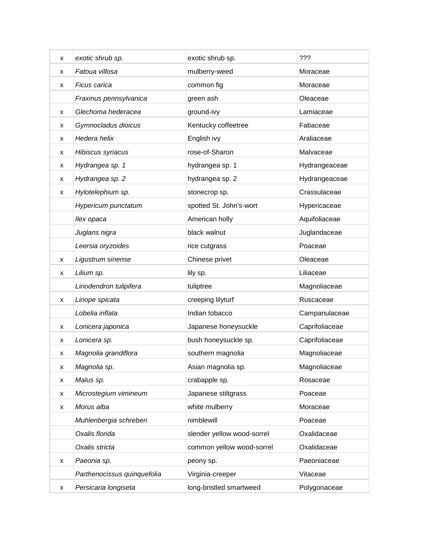| x | exotic shrub sp.            | exotic shrub sp.           | ???            |
|---|-----------------------------|----------------------------|----------------|
| x | Fatoua villosa              | mulberry-weed              | Moraceae       |
| x | Ficus carica                | common fig                 | Moraceae       |
|   | Fraxinus pennsylvanica      | green ash                  | Oleaceae       |
| x | Glechoma hederacea          | ground-ivy                 | Lamiaceae      |
| x | Gymnocladus dioicus         | Kentucky coffeetree        | Fabaceae       |
| x | Hedera helix                | English ivy                | Araliaceae     |
| x | Hibiscus syriacus           | rose-of-Sharon             | Malvaceae      |
| x | Hydrangea sp. 1             | hydrangea sp. 1            | Hydrangeaceae  |
| x | Hydrangea sp. 2             | hydrangea sp. 2            | Hydrangeaceae  |
| x | Hylotelephium sp.           | stonecrop sp.              | Crassulaceae   |
|   | Hypericum punctatum         | spotted St. John's-wort    | Hypericaceae   |
|   | llex opaca                  | American holly             | Aquifoliaceae  |
|   | Juglans nigra               | black walnut               | Juglandaceae   |
|   | Leersia oryzoides           | rice cutgrass              | Poaceae        |
| x | Ligustrum sinense           | Chinese privet             | Oleaceae       |
| x | Lilium sp.                  | lily sp.                   | Liliaceae      |
|   | Liriodendron tulipifera     | tuliptree                  | Magnoliaceae   |
| x | Liriope spicata             | creeping lilyturf          | Ruscaceae      |
|   | Lobelia inflata             | Indian tobacco             | Campanulaceae  |
| x | Lonicera japonica           | Japanese honeysuckle       | Caprifoliaceae |
| x | Lonicera sp.                | bush honeysuckle sp.       | Caprifoliaceae |
| x | Magnolia grandiflora        | southern magnolia          | Magnoliaceae   |
| x | Magnolia sp.                | Asian magnolia sp.         | Magnoliaceae   |
| x | Malus sp.                   | crabapple sp.              | Rosaceae       |
| x | Microstegium vimineum       | Japanese stiltgrass        | Poaceae        |
| x | Morus alba                  | white mulberry             | Moraceae       |
|   | Muhlenbergia schreberi      | nimblewill                 | Poaceae        |
|   | Oxalis florida              | slender yellow wood-sorrel | Oxalidaceae    |
|   | Oxalis stricta              | common yellow wood-sorrel  | Oxalidaceae    |
| x | Paeonia sp.                 | peony sp.                  | Paeoniaceae    |
|   | Parthenocissus quinquefolia | Virginia-creeper           | Vitaceae       |
| x | Persicaria longiseta        | long-bristled smartweed    | Polygonaceae   |